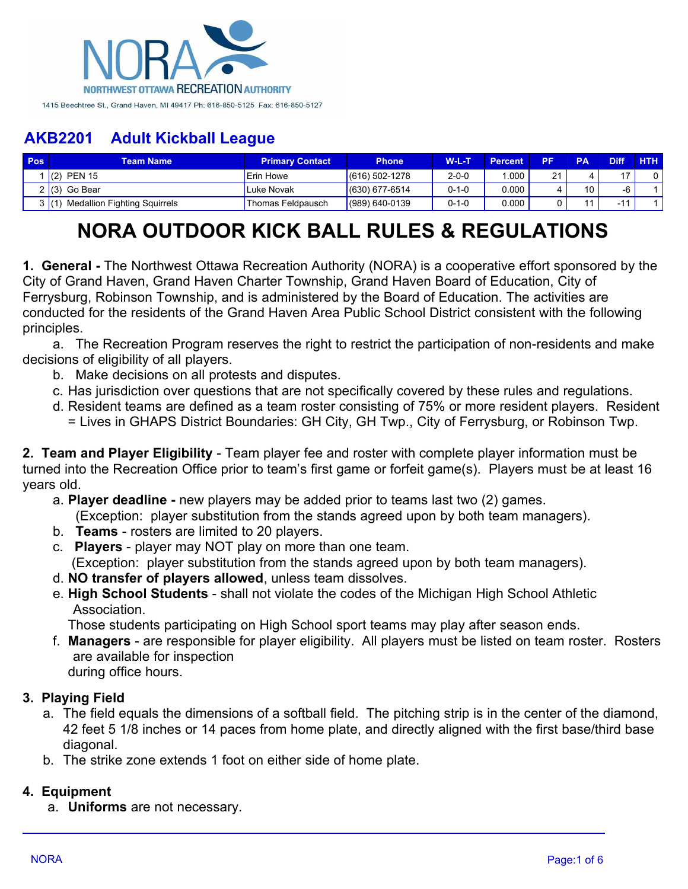

| <b>Pos</b> | Геаm Name                           | <b>Primary Contact</b> | <b>Phone</b>     | W-L-T       | <b>Percent</b> | DЕ                | <b>PA</b> | <b>Diff</b>   | <b>HTH</b> |
|------------|-------------------------------------|------------------------|------------------|-------------|----------------|-------------------|-----------|---------------|------------|
|            | <b>PEN 15</b><br>(2)                | <b>Erin Howe</b>       | $(616)$ 502-1278 | $2 - 0 - 0$ | .000           | $\mathbf{a}$<br>∠ |           | $\rightarrow$ |            |
|            | $2(3)$ Go Bear                      | Luke Novak             | $(630)$ 677-6514 | $0 - 1 - 0$ | 0.000          |                   | 10        |               |            |
|            | <b>Medallion Fighting Squirrels</b> | Thomas Feldpausch      | $(989)$ 640-0139 | $0 - 1 - 0$ | 0.000          |                   |           |               |            |

# **NORA OUTDOOR KICK BALL RULES & REGULATIONS**

**1. General -** The Northwest Ottawa Recreation Authority (NORA) is a cooperative effort sponsored by the City of Grand Haven, Grand Haven Charter Township, Grand Haven Board of Education, City of Ferrysburg, Robinson Township, and is administered by the Board of Education. The activities are conducted for the residents of the Grand Haven Area Public School District consistent with the following principles.

a. The Recreation Program reserves the right to restrict the participation of non-residents and make decisions of eligibility of all players.

- b. Make decisions on all protests and disputes.
- c. Has jurisdiction over questions that are not specifically covered by these rules and regulations.
- d. Resident teams are defined as a team roster consisting of 75% or more resident players. Resident = Lives in GHAPS District Boundaries: GH City, GH Twp., City of Ferrysburg, or Robinson Twp.

**2. Team and Player Eligibility** - Team player fee and roster with complete player information must be turned into the Recreation Office prior to team's first game or forfeit game(s). Players must be at least 16 years old.

- a. **Player deadline -** new players may be added prior to teams last two (2) games.
- (Exception: player substitution from the stands agreed upon by both team managers).
- b. **Teams** rosters are limited to 20 players.
- c. **Players** player may NOT play on more than one team.
	- (Exception: player substitution from the stands agreed upon by both team managers).
- d. **NO transfer of players allowed**, unless team dissolves.
- e. **High School Students** shall not violate the codes of the Michigan High School Athletic Association.

Those students participating on High School sport teams may play after season ends.

- f. **Managers** are responsible for player eligibility. All players must be listed on team roster. Rosters are available for inspection
	- during office hours.

#### **3. Playing Field**

- a. The field equals the dimensions of a softball field. The pitching strip is in the center of the diamond, 42 feet 5 1/8 inches or 14 paces from home plate, and directly aligned with the first base/third base diagonal.
- b. The strike zone extends 1 foot on either side of home plate.

#### **4. Equipment**

a. **Uniforms** are not necessary.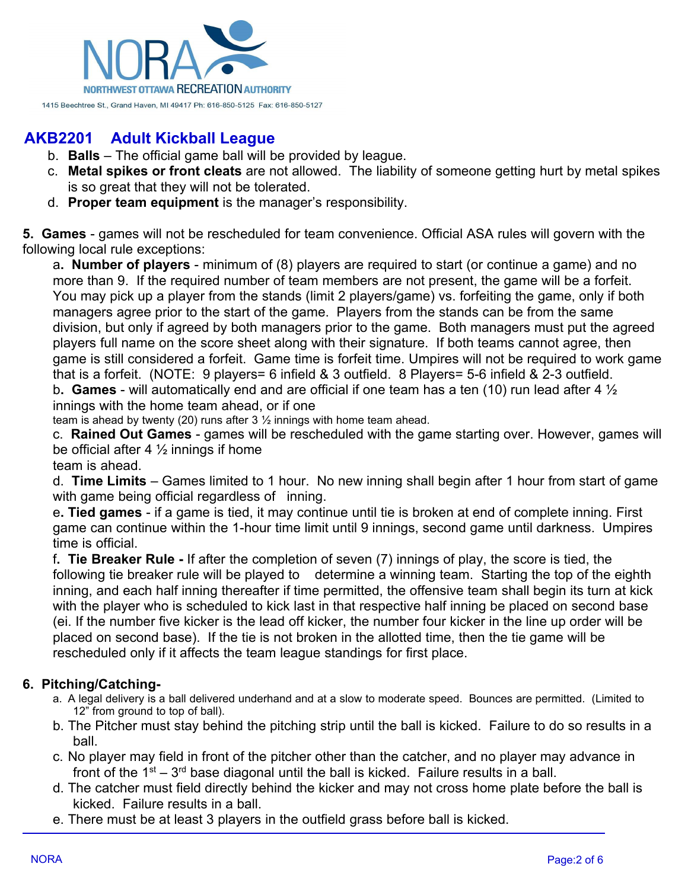

- b. **Balls** The official game ball will be provided by league.
- c. **Metal spikes or front cleats** are not allowed. The liability of someone getting hurt by metal spikes is so great that they will not be tolerated.
- d. **Proper team equipment** is the manager's responsibility.

**5. Games** - games will not be rescheduled for team convenience. Official ASA rules will govern with the following local rule exceptions:

a**. Number of players** - minimum of (8) players are required to start (or continue a game) and no more than 9. If the required number of team members are not present, the game will be a forfeit. You may pick up a player from the stands (limit 2 players/game) vs. forfeiting the game, only if both managers agree prior to the start of the game. Players from the stands can be from the same division, but only if agreed by both managers prior to the game. Both managers must put the agreed players full name on the score sheet along with their signature. If both teams cannot agree, then game is still considered a forfeit. Game time is forfeit time. Umpires will not be required to work game that is a forfeit. (NOTE: 9 players= 6 infield & 3 outfield. 8 Players= 5-6 infield & 2-3 outfield.

b**. Games** - will automatically end and are official if one team has a ten (10) run lead after 4 ½ innings with the home team ahead, or if one

team is ahead by twenty (20) runs after  $3\frac{1}{2}$  innings with home team ahead.

c. **Rained Out Games** - games will be rescheduled with the game starting over. However, games will be official after 4  $\frac{1}{2}$  innings if home

team is ahead.

d. **Time Limits** – Games limited to 1 hour. No new inning shall begin after 1 hour from start of game with game being official regardless of inning.

e**. Tied games** - if a game is tied, it may continue until tie is broken at end of complete inning. First game can continue within the 1-hour time limit until 9 innings, second game until darkness. Umpires time is official.

f**. Tie Breaker Rule -** If after the completion of seven (7) innings of play, the score is tied, the following tie breaker rule will be played to determine a winning team. Starting the top of the eighth inning, and each half inning thereafter if time permitted, the offensive team shall begin its turn at kick with the player who is scheduled to kick last in that respective half inning be placed on second base (ei. If the number five kicker is the lead off kicker, the number four kicker in the line up order will be placed on second base). If the tie is not broken in the allotted time, then the tie game will be rescheduled only if it affects the team league standings for first place.

### **6. Pitching/Catching-**

- a. A legal delivery is a ball delivered underhand and at a slow to moderate speed. Bounces are permitted. (Limited to 12" from ground to top of ball).
- b. The Pitcher must stay behind the pitching strip until the ball is kicked. Failure to do so results in a ball.
- c. No player may field in front of the pitcher other than the catcher, and no player may advance in front of the 1 $st - 3$ <sup>rd</sup> base diagonal until the ball is kicked. Failure results in a ball.
- d. The catcher must field directly behind the kicker and may not cross home plate before the ball is kicked. Failure results in a ball.
- e. There must be at least 3 players in the outfield grass before ball is kicked.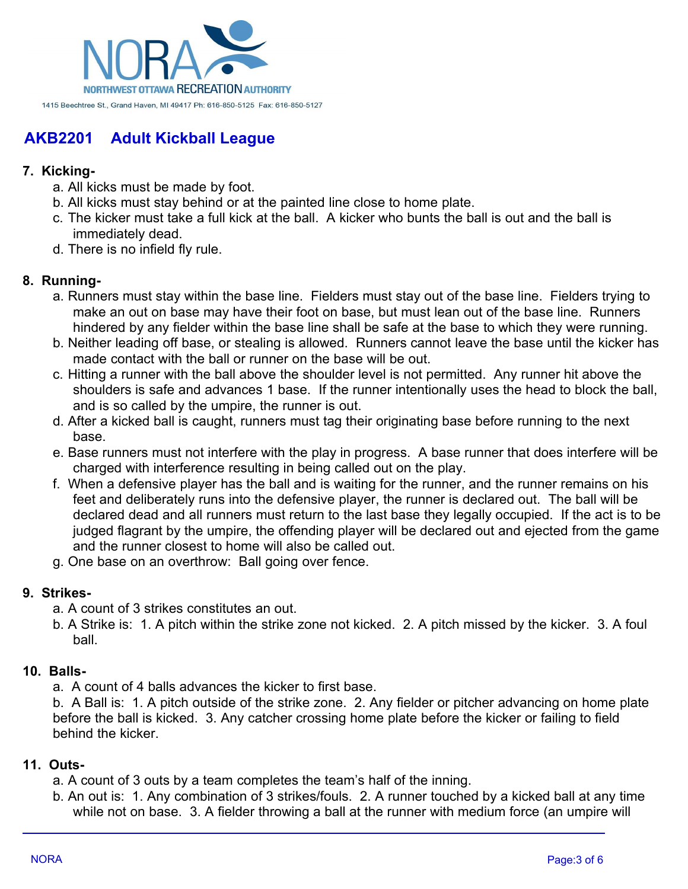

### **7. Kicking-**

- a. All kicks must be made by foot.
- b. All kicks must stay behind or at the painted line close to home plate.
- c. The kicker must take a full kick at the ball. A kicker who bunts the ball is out and the ball is immediately dead.
- d. There is no infield fly rule.

### **8. Running-**

- a. Runners must stay within the base line. Fielders must stay out of the base line. Fielders trying to make an out on base may have their foot on base, but must lean out of the base line. Runners hindered by any fielder within the base line shall be safe at the base to which they were running.
- b. Neither leading off base, or stealing is allowed. Runners cannot leave the base until the kicker has made contact with the ball or runner on the base will be out.
- c. Hitting a runner with the ball above the shoulder level is not permitted. Any runner hit above the shoulders is safe and advances 1 base. If the runner intentionally uses the head to block the ball, and is so called by the umpire, the runner is out.
- d. After a kicked ball is caught, runners must tag their originating base before running to the next base.
- e. Base runners must not interfere with the play in progress. A base runner that does interfere will be charged with interference resulting in being called out on the play.
- f. When a defensive player has the ball and is waiting for the runner, and the runner remains on his feet and deliberately runs into the defensive player, the runner is declared out. The ball will be declared dead and all runners must return to the last base they legally occupied. If the act is to be judged flagrant by the umpire, the offending player will be declared out and ejected from the game and the runner closest to home will also be called out.
- g. One base on an overthrow: Ball going over fence.

#### **9. Strikes-**

- a. A count of 3 strikes constitutes an out.
- b. A Strike is: 1. A pitch within the strike zone not kicked. 2. A pitch missed by the kicker. 3. A foul ball.

#### **10. Balls-**

a. A count of 4 balls advances the kicker to first base.

b. A Ball is: 1. A pitch outside of the strike zone. 2. Any fielder or pitcher advancing on home plate before the ball is kicked. 3. Any catcher crossing home plate before the kicker or failing to field behind the kicker.

#### **11. Outs-**

- a. A count of 3 outs by a team completes the team's half of the inning.
- b. An out is: 1. Any combination of 3 strikes/fouls. 2. A runner touched by a kicked ball at any time while not on base. 3. A fielder throwing a ball at the runner with medium force (an umpire will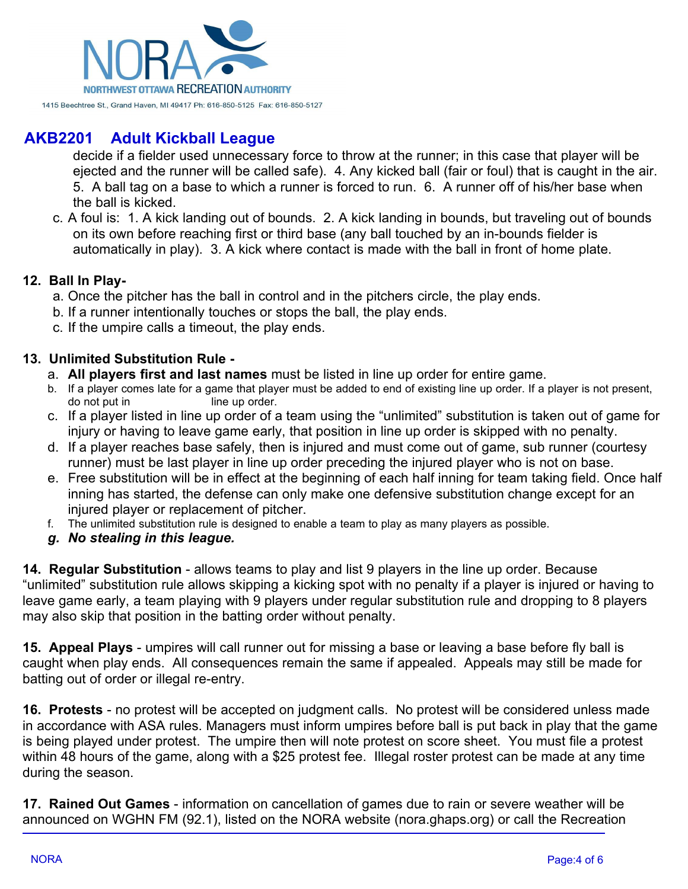

decide if a fielder used unnecessary force to throw at the runner; in this case that player will be ejected and the runner will be called safe). 4. Any kicked ball (fair or foul) that is caught in the air. 5. A ball tag on a base to which a runner is forced to run. 6. A runner off of his/her base when the ball is kicked.

c. A foul is: 1. A kick landing out of bounds. 2. A kick landing in bounds, but traveling out of bounds on its own before reaching first or third base (any ball touched by an in-bounds fielder is automatically in play). 3. A kick where contact is made with the ball in front of home plate.

#### **12. Ball In Play-**

- a. Once the pitcher has the ball in control and in the pitchers circle, the play ends.
- b. If a runner intentionally touches or stops the ball, the play ends.
- c. If the umpire calls a timeout, the play ends.

### **13. Unlimited Substitution Rule -**

- a. **All players first and last names** must be listed in line up order for entire game.
- b. If a player comes late for a game that player must be added to end of existing line up order. If a player is not present, do not put in line up order.
- c. If a player listed in line up order of a team using the "unlimited" substitution is taken out of game for injury or having to leave game early, that position in line up order is skipped with no penalty.
- d. If a player reaches base safely, then is injured and must come out of game, sub runner (courtesy runner) must be last player in line up order preceding the injured player who is not on base.
- e. Free substitution will be in effect at the beginning of each half inning for team taking field. Once half inning has started, the defense can only make one defensive substitution change except for an injured player or replacement of pitcher.
- f. The unlimited substitution rule is designed to enable a team to play as many players as possible.
- *g. No stealing in this league.*

**14. Regular Substitution** - allows teams to play and list 9 players in the line up order. Because "unlimited" substitution rule allows skipping a kicking spot with no penalty if a player is injured or having to leave game early, a team playing with 9 players under regular substitution rule and dropping to 8 players may also skip that position in the batting order without penalty.

**15. Appeal Plays** - umpires will call runner out for missing a base or leaving a base before fly ball is caught when play ends. All consequences remain the same if appealed. Appeals may still be made for batting out of order or illegal re-entry.

**16. Protests** - no protest will be accepted on judgment calls. No protest will be considered unless made in accordance with ASA rules. Managers must inform umpires before ball is put back in play that the game is being played under protest. The umpire then will note protest on score sheet. You must file a protest within 48 hours of the game, along with a \$25 protest fee. Illegal roster protest can be made at any time during the season.

**17. Rained Out Games** - information on cancellation of games due to rain or severe weather will be announced on WGHN FM (92.1), listed on the NORA website (nora.ghaps.org) or call the Recreation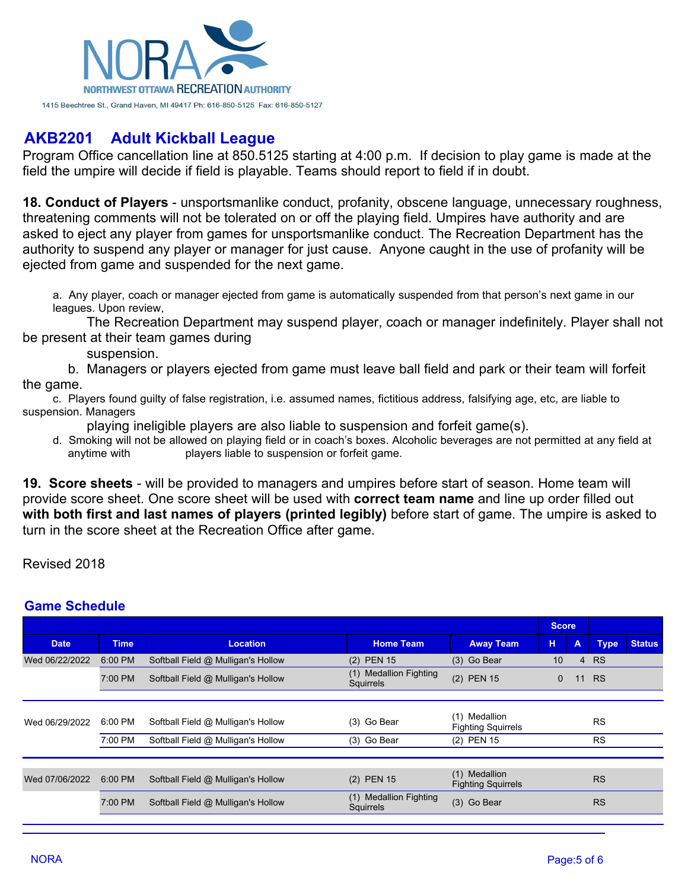

Program Office cancellation line at 850.5125 starting at 4:00 p.m. If decision to play game is made at the field the umpire will decide if field is playable. Teams should report to field if in doubt.

**18. Conduct of Players** - unsportsmanlike conduct, profanity, obscene language, unnecessary roughness, threatening comments will not be tolerated on or off the playing field. Umpires have authority and are asked to eject any player from games for unsportsmanlike conduct. The Recreation Department has the authority to suspend any player or manager for just cause. Anyone caught in the use of profanity will be ejected from game and suspended for the next game.

a. Any player, coach or manager ejected from game is automatically suspended from that person's next game in our leagues. Upon review,

 The Recreation Department may suspend player, coach or manager indefinitely. Player shall not be present at their team games during

suspension.

 b. Managers or players ejected from game must leave ball field and park or their team will forfeit the game.

c. Players found guilty of false registration, i.e. assumed names, fictitious address, falsifying age, etc, are liable to suspension. Managers

playing ineligible players are also liable to suspension and forfeit game(s).

d. Smoking will not be allowed on playing field or in coach's boxes. Alcoholic beverages are not permitted at any field at anytime with players liable to suspension or forfeit game.

**19. Score sheets** - will be provided to managers and umpires before start of season. Home team will provide score sheet. One score sheet will be used with **correct team name** and line up order filled out **with both first and last names of players (printed legibly)** before start of game. The umpire is asked to turn in the score sheet at the Recreation Office after game.

Revised 2018

### **Game Schedule**

|                |             |                                    | <b>Score</b>                        |                                            |          |                |             |               |
|----------------|-------------|------------------------------------|-------------------------------------|--------------------------------------------|----------|----------------|-------------|---------------|
| <b>Date</b>    | <b>Time</b> | <b>Location</b>                    | <b>Home Team</b>                    | <b>Away Team</b>                           | н        | A              | <b>Type</b> | <b>Status</b> |
| Wed 06/22/2022 | 6:00 PM     | Softball Field @ Mulligan's Hollow | (2) PEN 15                          | (3) Go Bear                                | 10       | $\overline{4}$ | <b>RS</b>   |               |
|                | 7:00 PM     | Softball Field @ Mulligan's Hollow | (1) Medallion Fighting<br>Squirrels | (2) PEN 15                                 | $\Omega$ | 11             | <b>RS</b>   |               |
|                |             |                                    |                                     |                                            |          |                |             |               |
| Wed 06/29/2022 | 6:00 PM     | Softball Field @ Mulligan's Hollow | (3) Go Bear                         | (1) Medallion<br><b>Fighting Squirrels</b> |          |                | <b>RS</b>   |               |
|                | 7:00 PM     | Softball Field @ Mulligan's Hollow | (3) Go Bear                         | (2) PEN 15                                 |          |                | <b>RS</b>   |               |
|                |             |                                    |                                     |                                            |          |                |             |               |
| Wed 07/06/2022 | 6:00 PM     | Softball Field @ Mulligan's Hollow | (2) PEN 15                          | (1) Medallion<br><b>Fighting Squirrels</b> |          |                | <b>RS</b>   |               |
|                | 7:00 PM     | Softball Field @ Mulligan's Hollow | (1) Medallion Fighting<br>Squirrels | (3) Go Bear                                |          |                | <b>RS</b>   |               |